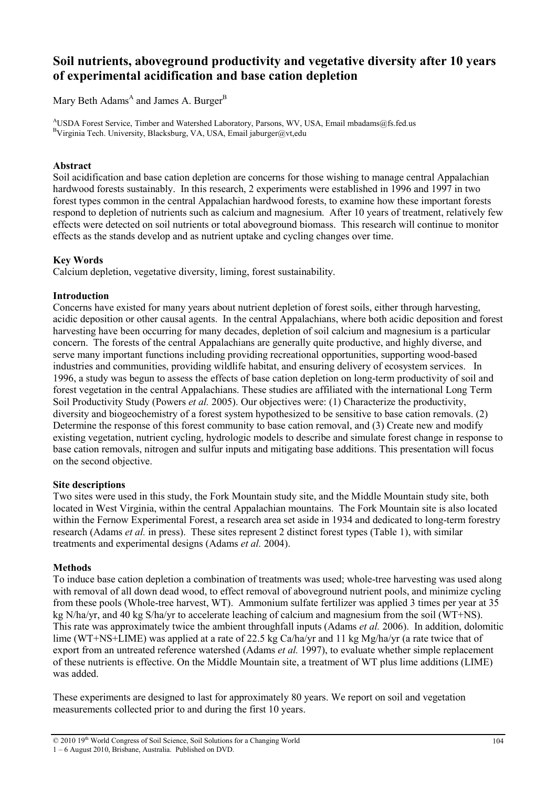# **Soil nutrients, aboveground productivity and vegetative diversity after 10 years of experimental acidification and base cation depletion**

Mary Beth Adams<sup>A</sup> and James A. Burger<sup>B</sup>

<sup>A</sup>USDA Forest Service, Timber and Watershed Laboratory, Parsons, WV, USA, Email mbadams@fs.fed.us <sup>B</sup>Virginia Tech. University, Blacksburg, VA, USA, Email jaburger@vt,edu

# **Abstract**

Soil acidification and base cation depletion are concerns for those wishing to manage central Appalachian hardwood forests sustainably. In this research, 2 experiments were established in 1996 and 1997 in two forest types common in the central Appalachian hardwood forests, to examine how these important forests respond to depletion of nutrients such as calcium and magnesium. After 10 years of treatment, relatively few effects were detected on soil nutrients or total aboveground biomass. This research will continue to monitor effects as the stands develop and as nutrient uptake and cycling changes over time.

# **Key Words**

Calcium depletion, vegetative diversity, liming, forest sustainability.

# **Introduction**

Concerns have existed for many years about nutrient depletion of forest soils, either through harvesting, acidic deposition or other causal agents. In the central Appalachians, where both acidic deposition and forest harvesting have been occurring for many decades, depletion of soil calcium and magnesium is a particular concern. The forests of the central Appalachians are generally quite productive, and highly diverse, and serve many important functions including providing recreational opportunities, supporting wood-based industries and communities, providing wildlife habitat, and ensuring delivery of ecosystem services. In 1996, a study was begun to assess the effects of base cation depletion on long-term productivity of soil and forest vegetation in the central Appalachians. These studies are affiliated with the international Long Term Soil Productivity Study (Powers *et al.* 2005). Our objectives were: (1) Characterize the productivity, diversity and biogeochemistry of a forest system hypothesized to be sensitive to base cation removals. (2) Determine the response of this forest community to base cation removal, and (3) Create new and modify existing vegetation, nutrient cycling, hydrologic models to describe and simulate forest change in response to base cation removals, nitrogen and sulfur inputs and mitigating base additions. This presentation will focus on the second objective.

## **Site descriptions**

Two sites were used in this study, the Fork Mountain study site, and the Middle Mountain study site, both located in West Virginia, within the central Appalachian mountains. The Fork Mountain site is also located within the Fernow Experimental Forest, a research area set aside in 1934 and dedicated to long-term forestry research (Adams *et al.* in press). These sites represent 2 distinct forest types (Table 1), with similar treatments and experimental designs (Adams *et al.* 2004).

## **Methods**

To induce base cation depletion a combination of treatments was used; whole-tree harvesting was used along with removal of all down dead wood, to effect removal of aboveground nutrient pools, and minimize cycling from these pools (Whole-tree harvest, WT). Ammonium sulfate fertilizer was applied 3 times per year at 35 kg N/ha/yr, and 40 kg S/ha/yr to accelerate leaching of calcium and magnesium from the soil (WT+NS). This rate was approximately twice the ambient throughfall inputs (Adams *et al.* 2006). In addition, dolomitic lime (WT+NS+LIME) was applied at a rate of 22.5 kg Ca/ha/yr and 11 kg Mg/ha/yr (a rate twice that of export from an untreated reference watershed (Adams *et al.* 1997), to evaluate whether simple replacement of these nutrients is effective. On the Middle Mountain site, a treatment of WT plus lime additions (LIME) was added.

These experiments are designed to last for approximately 80 years. We report on soil and vegetation measurements collected prior to and during the first 10 years.

<sup>© 2010 19</sup>th World Congress of Soil Science, Soil Solutions for a Changing World 1 – 6 August 2010, Brisbane, Australia. Published on DVD.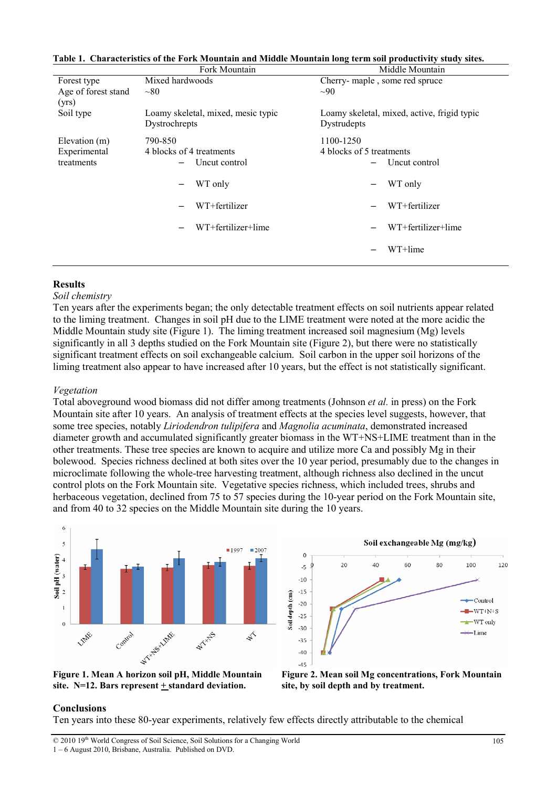|                                             | Fork Mountain                                                                                          | Middle Mountain                                                                                                     |
|---------------------------------------------|--------------------------------------------------------------------------------------------------------|---------------------------------------------------------------------------------------------------------------------|
| Forest type                                 | Mixed hardwoods                                                                                        | Cherry-maple, some red spruce                                                                                       |
| Age of forest stand<br>(yrs)                | ~10                                                                                                    | $\sim 90$                                                                                                           |
| Soil type                                   | Loamy skeletal, mixed, mesic typic<br>Dystrochrepts                                                    | Loamy skeletal, mixed, active, frigid typic<br>Dystrudepts                                                          |
| Elevation (m)<br>Experimental<br>treatments | 790-850<br>4 blocks of 4 treatments<br>Uncut control<br>WT only<br>WT+fertilizer<br>WT+fertilizer+lime | 1100-1250<br>4 blocks of 5 treatments<br>Uncut control<br>WT only<br>WT+fertilizer<br>WT+fertilizer+lime<br>WT+lime |

#### **Table 1. Characteristics of the Fork Mountain and Middle Mountain long term soil productivity study sites.**

### **Results**

#### *Soil chemistry*

Ten years after the experiments began; the only detectable treatment effects on soil nutrients appear related to the liming treatment. Changes in soil pH due to the LIME treatment were noted at the more acidic the Middle Mountain study site (Figure 1). The liming treatment increased soil magnesium (Mg) levels significantly in all 3 depths studied on the Fork Mountain site (Figure 2), but there were no statistically significant treatment effects on soil exchangeable calcium. Soil carbon in the upper soil horizons of the liming treatment also appear to have increased after 10 years, but the effect is not statistically significant.

### *Vegetation*

Total aboveground wood biomass did not differ among treatments (Johnson *et al.* in press) on the Fork Mountain site after 10 years. An analysis of treatment effects at the species level suggests, however, that some tree species, notably *Liriodendron tulipifera* and *Magnolia acuminata*, demonstrated increased diameter growth and accumulated significantly greater biomass in the WT+NS+LIME treatment than in the other treatments. These tree species are known to acquire and utilize more Ca and possibly Mg in their bolewood. Species richness declined at both sites over the 10 year period, presumably due to the changes in microclimate following the whole-tree harvesting treatment, although richness also declined in the uncut control plots on the Fork Mountain site. Vegetative species richness, which included trees, shrubs and herbaceous vegetation, declined from 75 to 57 species during the 10-year period on the Fork Mountain site, and from 40 to 32 species on the Middle Mountain site during the 10 years.







**Figure 2. Mean soil Mg concentrations, Fork Mountain site, by soil depth and by treatment.**

## **Conclusions**

Ten years into these 80-year experiments, relatively few effects directly attributable to the chemical